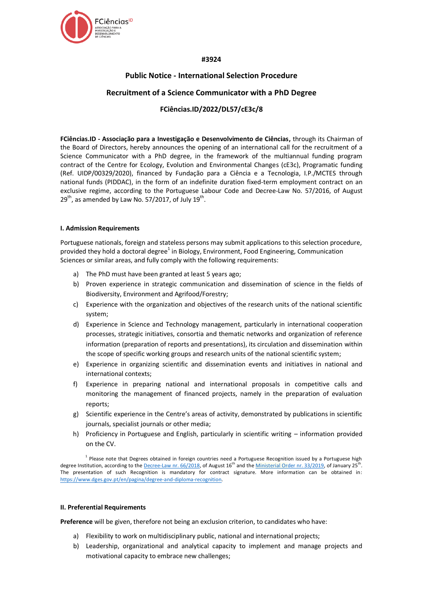

### **#3924**

# **Public Notice - International Selection Procedure**

# **Recruitment of a Science Communicator with a PhD Degree**

# **FCiências.ID/2022/DL57/cE3c/8**

**FCiências.ID - Associação para a Investigação e Desenvolvimento de Ciências,** through its Chairman of the Board of Directors, hereby announces the opening of an international call for the recruitment of a Science Communicator with a PhD degree, in the framework of the multiannual funding program contract of the Centre for Ecology, Evolution and Environmental Changes (cE3c), Programatic funding (Ref. UIDP/00329/2020), financed by Fundação para a Ciência e a Tecnologia, I.P./MCTES through national funds (PIDDAC), in the form of an indefinite duration fixed-term employment contract on an exclusive regime, according to the Portuguese Labour Code and Decree-Law No. 57/2016, of August  $29<sup>th</sup>$ , as amended by Law No. 57/2017, of July 19<sup>th</sup>.

#### **I. Admission Requirements**

Portuguese nationals, foreign and stateless persons may submit applications to this selection procedure, provided they hold a doctoral degree<sup>1</sup> in Biology, Environment, Food Engineering, Communication Sciences or similar areas, and fully comply with the following requirements:

- a) The PhD must have been granted at least 5 years ago;
- b) Proven experience in strategic communication and dissemination of science in the fields of Biodiversity, Environment and Agrifood/Forestry;
- c) Experience with the organization and objectives of the research units of the national scientific system;
- d) Experience in Science and Technology management, particularly in international cooperation processes, strategic initiatives, consortia and thematic networks and organization of reference information (preparation of reports and presentations), its circulation and dissemination within the scope of specific working groups and research units of the national scientific system;
- e) Experience in organizing scientific and dissemination events and initiatives in national and international contexts;
- f) Experience in preparing national and international proposals in competitive calls and monitoring the management of financed projects, namely in the preparation of evaluation reports;
- g) Scientific experience in the Centre's areas of activity, demonstrated by publications in scientific journals, specialist journals or other media;
- h) Proficiency in Portuguese and English, particularly in scientific writing information provided on the CV.

#### **II. Preferential Requirements**

**Preference** will be given, therefore not being an exclusion criterion, to candidates who have:

- a) Flexibility to work on multidisciplinary public, national and international projects;
- b) Leadership, organizational and analytical capacity to implement and manage projects and motivational capacity to embrace new challenges;

<sup>&</sup>lt;sup>1</sup> Please note that Degrees obtained in foreign countries need a Portuguese Recognition issued by a Portuguese high degree Institution, according to th[e Decree-Law nr. 66/2018,](https://dre.pt/web/guest/pesquisa/-/search/116068880/details/maximized?res=en) of August 16<sup>th</sup> and the <u>Ministerial Order nr. 33/2019</u>, of January 25<sup>th</sup>. The presentation of such Recognition is mandatory for contract signature. More information can be obtained in: [https://www.dges.gov.pt/en/pagina/degree-and-diploma-recognition.](https://www.dges.gov.pt/en/pagina/degree-and-diploma-recognition)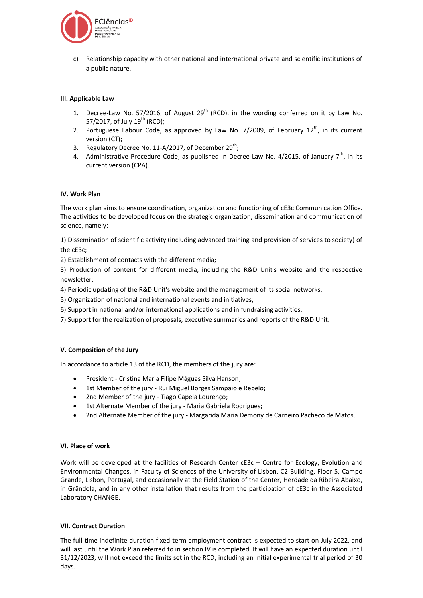

c) Relationship capacity with other national and international private and scientific institutions of a public nature.

### **III. Applicable Law**

- 1. Decree-Law No. 57/2016, of August  $29<sup>th</sup>$  (RCD), in the wording conferred on it by Law No. 57/2017, of July  $19^{th}$  (RCD):
- 2. Portuguese Labour Code, as approved by Law No. 7/2009, of February  $12^{th}$ , in its current version (CT);
- 3. Regulatory Decree No. 11-A/2017, of December 29<sup>th</sup>;
- 4. Administrative Procedure Code, as published in Decree-Law No. 4/2015, of January  $7^{\text{th}}$ , in its current version (CPA).

#### **IV. Work Plan**

The work plan aims to ensure coordination, organization and functioning of cE3c Communication Office. The activities to be developed focus on the strategic organization, dissemination and communication of science, namely:

1) Dissemination of scientific activity (including advanced training and provision of services to society) of the cE3c;

2) Establishment of contacts with the different media;

3) Production of content for different media, including the R&D Unit's website and the respective newsletter;

4) Periodic updating of the R&D Unit's website and the management of its social networks;

5) Organization of national and international events and initiatives;

6) Support in national and/or international applications and in fundraising activities;

7) Support for the realization of proposals, executive summaries and reports of the R&D Unit.

#### **V. Composition of the Jury**

In accordance to article 13 of the RCD, the members of the jury are:

- President Cristina Maria Filipe Máguas Silva Hanson;
- 1st Member of the jury Rui Miguel Borges Sampaio e Rebelo;
- 2nd Member of the jury Tiago Capela Lourenço;
- 1st Alternate Member of the jury Maria Gabriela Rodrigues;
- 2nd Alternate Member of the jury Margarida Maria Demony de Carneiro Pacheco de Matos.

#### **VI. Place of work**

Work will be developed at the facilities of Research Center cE3c – Centre for Ecology, Evolution and Environmental Changes, in Faculty of Sciences of the University of Lisbon, C2 Building, Floor 5, Campo Grande, Lisbon, Portugal, and occasionally at the Field Station of the Center, Herdade da Ribeira Abaixo, in Grândola, and in any other installation that results from the participation of cE3c in the Associated Laboratory CHANGE.

#### **VII. Contract Duration**

The full-time indefinite duration fixed-term employment contract is expected to start on July 2022, and will last until the Work Plan referred to in section IV is completed. It will have an expected duration until 31/12/2023, will not exceed the limits set in the RCD, including an initial experimental trial period of 30 days.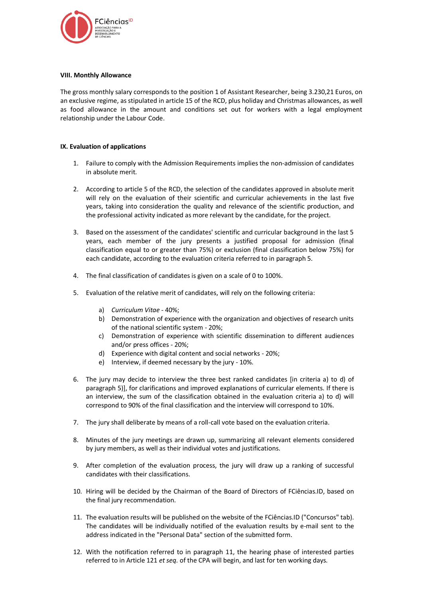

#### **VIII. Monthly Allowance**

The gross monthly salary corresponds to the position 1 of Assistant Researcher, being 3.230,21 Euros, on an exclusive regime, as stipulated in article 15 of the RCD, plus holiday and Christmas allowances, as well as food allowance in the amount and conditions set out for workers with a legal employment relationship under the Labour Code.

### **IX. Evaluation of applications**

- 1. Failure to comply with the Admission Requirements implies the non-admission of candidates in absolute merit.
- 2. According to article 5 of the RCD, the selection of the candidates approved in absolute merit will rely on the evaluation of their scientific and curricular achievements in the last five years, taking into consideration the quality and relevance of the scientific production, and the professional activity indicated as more relevant by the candidate, for the project.
- 3. Based on the assessment of the candidates' scientific and curricular background in the last 5 years, each member of the jury presents a justified proposal for admission (final classification equal to or greater than 75%) or exclusion (final classification below 75%) for each candidate, according to the evaluation criteria referred to in paragraph 5.
- 4. The final classification of candidates is given on a scale of 0 to 100%.
- 5. Evaluation of the relative merit of candidates, will rely on the following criteria:
	- a) *Curriculum Vitae* 40%;
	- b) Demonstration of experience with the organization and objectives of research units of the national scientific system - 20%;
	- c) Demonstration of experience with scientific dissemination to different audiences and/or press offices - 20%;
	- d) Experience with digital content and social networks 20%;
	- e) Interview, if deemed necessary by the jury 10%.
- 6. The jury may decide to interview the three best ranked candidates [in criteria a) to d) of paragraph 5)], for clarifications and improved explanations of curricular elements. If there is an interview, the sum of the classification obtained in the evaluation criteria a) to d) will correspond to 90% of the final classification and the interview will correspond to 10%.
- 7. The jury shall deliberate by means of a roll-call vote based on the evaluation criteria.
- 8. Minutes of the jury meetings are drawn up, summarizing all relevant elements considered by jury members, as well as their individual votes and justifications.
- 9. After completion of the evaluation process, the jury will draw up a ranking of successful candidates with their classifications.
- 10. Hiring will be decided by the Chairman of the Board of Directors of FCiências.ID, based on the final jury recommendation.
- 11. The evaluation results will be published on the website of the FCiências.ID ("Concursos" tab). The candidates will be individually notified of the evaluation results by e-mail sent to the address indicated in the "Personal Data" section of the submitted form.
- 12. With the notification referred to in paragraph 11, the hearing phase of interested parties referred to in Article 121 *et seq.* of the CPA will begin, and last for ten working days.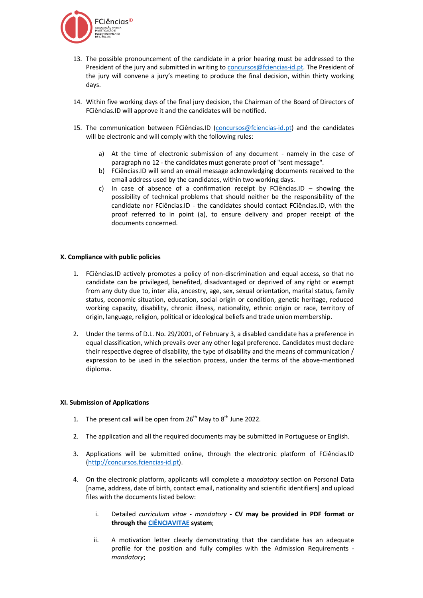

- 13. The possible pronouncement of the candidate in a prior hearing must be addressed to the President of the jury and submitted in writing to [concursos@fciencias-id.pt.](mailto:concursos@fciencias-id.pt) The President of the jury will convene a jury's meeting to produce the final decision, within thirty working days.
- 14. Within five working days of the final jury decision, the Chairman of the Board of Directors of FCiências.ID will approve it and the candidates will be notified.
- 15. The communication between FCiências.ID [\(concursos@fciencias-id.pt\)](mailto:concursos@fciencias-id.pt) and the candidates will be electronic and will comply with the following rules:
	- a) At the time of electronic submission of any document namely in the case of paragraph no 12 - the candidates must generate proof of "sent message".
	- b) FCiências.ID will send an email message acknowledging documents received to the email address used by the candidates, within two working days.
	- c) In case of absence of a confirmation receipt by FCiências.ID showing the possibility of technical problems that should neither be the responsibility of the candidate nor FCiências.ID - the candidates should contact FCiências.ID, with the proof referred to in point (a), to ensure delivery and proper receipt of the documents concerned.

#### **X. Compliance with public policies**

- 1. FCiências.ID actively promotes a policy of non-discrimination and equal access, so that no candidate can be privileged, benefited, disadvantaged or deprived of any right or exempt from any duty due to, inter alia, ancestry, age, sex, sexual orientation, marital status, family status, economic situation, education, social origin or condition, genetic heritage, reduced working capacity, disability, chronic illness, nationality, ethnic origin or race, territory of origin, language, religion, political or ideological beliefs and trade union membership.
- 2. Under the terms of D.L. No. 29/2001, of February 3, a disabled candidate has a preference in equal classification, which prevails over any other legal preference. Candidates must declare their respective degree of disability, the type of disability and the means of communication / expression to be used in the selection process, under the terms of the above-mentioned diploma.

#### **XI. Submission of Applications**

- 1. The present call will be open from  $26<sup>th</sup>$  May to  $8<sup>th</sup>$  June 2022.
- 2. The application and all the required documents may be submitted in Portuguese or English.
- 3. Applications will be submitted online, through the electronic platform of FCiências.ID [\(http://concursos.fciencias-id.pt\)](http://concursos.fciencias-id.pt/).
- 4. On the electronic platform, applicants will complete a *mandatory* section on Personal Data [name, address, date of birth, contact email, nationality and scientific identifiers] and upload files with the documents listed below:
	- i. Detailed *curriculum vitae mandatory -* **CV may be provided in PDF format or through th[e CIÊNCIAVITAE](https://cienciavitae.pt/) system**;
	- ii. A motivation letter clearly demonstrating that the candidate has an adequate profile for the position and fully complies with the Admission Requirements *mandatory*;